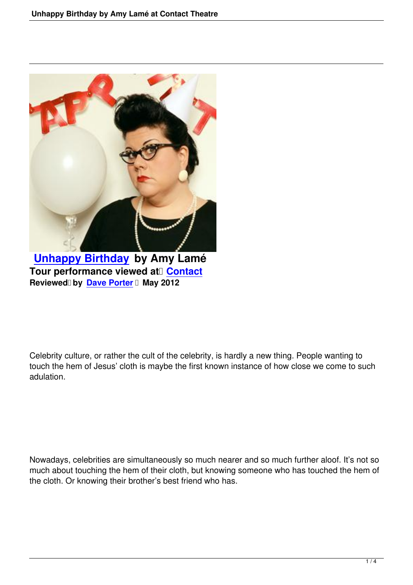

**Unhappy Birthday by Amy Lamé Tour performance viewed at Contact Reviewed by Dave Porter I May 2012** 

Celebrity culture, or rather the cult of the celebrity, is hardly a new thing. People wanting to touch the hem of Jesus' cloth is maybe the first known instance of how close we come to such adulation.

Nowadays, celebrities are simultaneously so much nearer and so much further aloof. It's not so much about touching the hem of their cloth, but knowing someone who has touched the hem of the cloth. Or knowing their brother's best friend who has.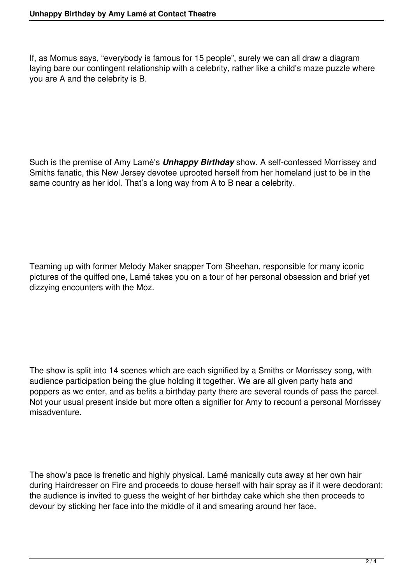If, as Momus says, "everybody is famous for 15 people", surely we can all draw a diagram laying bare our contingent relationship with a celebrity, rather like a child's maze puzzle where you are A and the celebrity is B.

Such is the premise of Amy Lamé's *Unhappy Birthday* show. A self-confessed Morrissey and Smiths fanatic, this New Jersey devotee uprooted herself from her homeland just to be in the same country as her idol. That's a long way from A to B near a celebrity.

Teaming up with former Melody Maker snapper Tom Sheehan, responsible for many iconic pictures of the quiffed one, Lamé takes you on a tour of her personal obsession and brief yet dizzying encounters with the Moz.

The show is split into 14 scenes which are each signified by a Smiths or Morrissey song, with audience participation being the glue holding it together. We are all given party hats and poppers as we enter, and as befits a birthday party there are several rounds of pass the parcel. Not your usual present inside but more often a signifier for Amy to recount a personal Morrissey misadventure.

The show's pace is frenetic and highly physical. Lamé manically cuts away at her own hair during Hairdresser on Fire and proceeds to douse herself with hair spray as if it were deodorant; the audience is invited to guess the weight of her birthday cake which she then proceeds to devour by sticking her face into the middle of it and smearing around her face.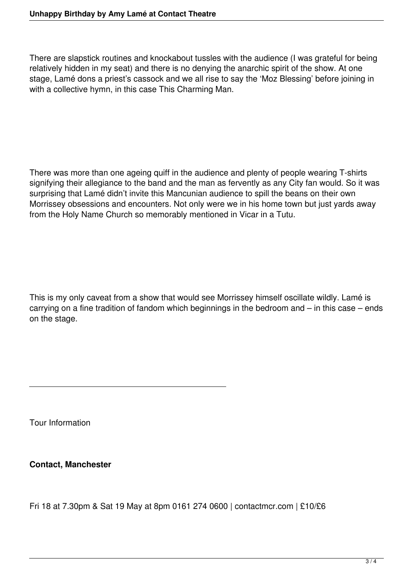There are slapstick routines and knockabout tussles with the audience (I was grateful for being relatively hidden in my seat) and there is no denying the anarchic spirit of the show. At one stage, Lamé dons a priest's cassock and we all rise to say the 'Moz Blessing' before joining in with a collective hymn, in this case This Charming Man.

There was more than one ageing quiff in the audience and plenty of people wearing T-shirts signifying their allegiance to the band and the man as fervently as any City fan would. So it was surprising that Lamé didn't invite this Mancunian audience to spill the beans on their own Morrissey obsessions and encounters. Not only were we in his home town but just yards away from the Holy Name Church so memorably mentioned in Vicar in a Tutu.

This is my only caveat from a show that would see Morrissey himself oscillate wildly. Lamé is carrying on a fine tradition of fandom which beginnings in the bedroom and – in this case – ends on the stage.

Tour Information

**Contact, Manchester** 

Fri 18 at 7.30pm & Sat 19 May at 8pm 0161 274 0600 | contactmcr.com | £10/£6